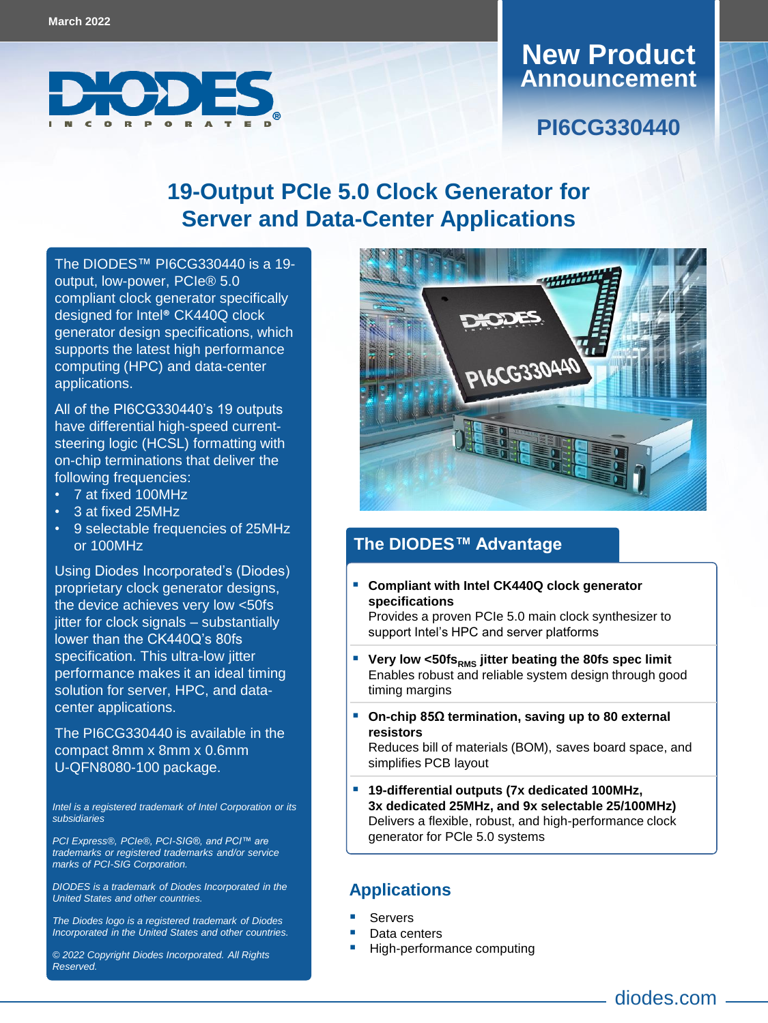

#### **Announcement New Product**

**PI6CG330440**

# **19-Output PCIe 5.0 Clock Generator for Server and Data-Center Applications**

The DIODES™ [PI6CG330440](https://www.diodes.com/part/PI6CG330440) is a 19 output, low-power, PCIe® 5.0 compliant clock generator specifically designed for Intel**®** CK440Q clock generator design specifications, which supports the latest high performance computing (HPC) and data-center applications.

All of the PI6CG330440's 19 outputs have differential high-speed currentsteering logic (HCSL) formatting with on-chip terminations that deliver the following frequencies:

- 7 at fixed 100MHz
- 3 at fixed 25MHz
- 9 selectable frequencies of 25MHz or 100MHz

Using Diodes Incorporated's (Diodes) proprietary clock generator designs, the device achieves very low <50fs jitter for clock signals – substantially lower than the CK440Q's 80fs specification. This ultra-low jitter performance makes it an ideal timing solution for server, HPC, and datacenter applications.

The PI6CG330440 is available in the compact 8mm x 8mm x 0.6mm U-QFN8080-100 package.

*Intel is a registered trademark of Intel Corporation or its subsidiaries*

*PCI Express®, PCIe®, PCI-SIG®, and PCI™ are trademarks or registered trademarks and/or service marks of PCI-SIG Corporation.*

*DIODES is a trademark of Diodes Incorporated in the United States and other countries.*

*The Diodes logo is a registered trademark of Diodes Incorporated in the United States and other countries.*

*© 2022 Copyright Diodes Incorporated. All Rights Reserved.*



#### **The DIODES™ Advantage**

- **Compliant with Intel CK440Q clock generator specifications** Provides a proven PCIe 5.0 main clock synthesizer to support Intel's HPC and server platforms
- **Very low <50fs**<sub>RMS</sub> jitter beating the 80fs spec limit Enables robust and reliable system design through good timing margins
- **On-chip 85Ω termination, saving up to 80 external resistors**

Reduces bill of materials (BOM), saves board space, and simplifies PCB layout

 **19-differential outputs (7x dedicated 100MHz, 3x dedicated 25MHz, and 9x selectable 25/100MHz)** Delivers a flexible, robust, and high-performance clock generator for PCle 5.0 systems

#### **Applications**

- Servers
- Data centers
- High-performance computing